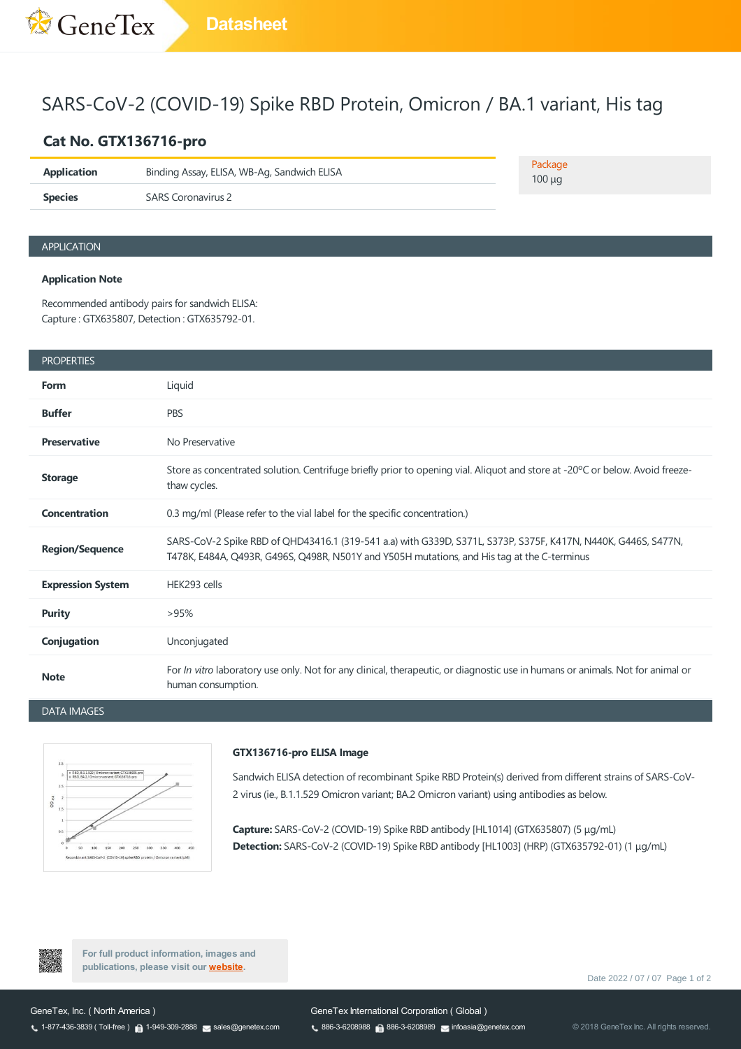# SARS-CoV-2 (COVID-19) Spike RBD Protein, Omicron / BA.1 variant, His tag

## **Cat No. GTX136716-pro**

| <b>Application</b> | Binding Assay, ELISA, WB-Ag, Sandwich ELISA | Package<br>$100 \mu q$ |
|--------------------|---------------------------------------------|------------------------|
| <b>Species</b>     | SARS Coronavirus 2                          |                        |

### APPLICATION

#### **Application Note**

Recommended antibody pairs for sandwich ELISA: Capture: GTX635807, Detection : GTX635792-01.

|  | <b>PROPERTIES</b> |
|--|-------------------|

| <b>PROPERTIES</b>        |                                                                                                                                                                                                              |
|--------------------------|--------------------------------------------------------------------------------------------------------------------------------------------------------------------------------------------------------------|
| Form                     | Liquid                                                                                                                                                                                                       |
| <b>Buffer</b>            | <b>PBS</b>                                                                                                                                                                                                   |
| <b>Preservative</b>      | No Preservative                                                                                                                                                                                              |
| <b>Storage</b>           | Store as concentrated solution. Centrifuge briefly prior to opening vial. Aliquot and store at -20°C or below. Avoid freeze-<br>thaw cycles.                                                                 |
| <b>Concentration</b>     | 0.3 mg/ml (Please refer to the vial label for the specific concentration.)                                                                                                                                   |
| <b>Region/Sequence</b>   | SARS-CoV-2 Spike RBD of QHD43416.1 (319-541 a.a) with G339D, S371L, S373P, S375F, K417N, N440K, G446S, S477N,<br>T478K, E484A, Q493R, G496S, Q498R, N501Y and Y505H mutations, and His tag at the C-terminus |
| <b>Expression System</b> | HEK293 cells                                                                                                                                                                                                 |
| <b>Purity</b>            | >95%                                                                                                                                                                                                         |
| Conjugation              | Unconjugated                                                                                                                                                                                                 |
| <b>Note</b>              | For In vitro laboratory use only. Not for any clinical, therapeutic, or diagnostic use in humans or animals. Not for animal or<br>human consumption.                                                         |

DATA IMAGES



#### **GTX136716-pro ELISA Image**

Sandwich ELISA detection of recombinant Spike RBD Protein(s) derived from different strains of SARS-CoV-2 virus (ie., B.1.1.529 Omicron variant; BA.2 Omicron variant) using antibodies as below.

**Capture:** SARS-CoV-2 (COVID-19) Spike RBD antibody [HL1014] (GTX635807) (5 μg/mL) **Detection:** SARS-CoV-2 (COVID-19) Spike RBD antibody [HL1003] (HRP) (GTX635792-01) (1 μg/mL)



**For full product information, images and publications, please visit our [website.](https://www.genetex.com/Product/Detail/SARS-CoV-2-COVID-19-Spike-RBD-Protein-Omicron-BA-1-variant-His-tag/GTX136716-pro)**

Date 2022 / 07 / 07 Page 1 of 2